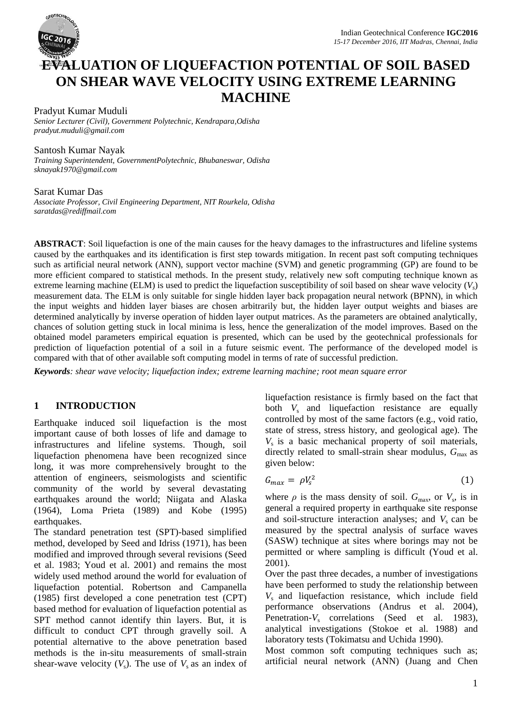

# **EVALUATION OF LIQUEFACTION POTENTIAL OF SOIL BASED ON SHEAR WAVE VELOCITY USING EXTREME LEARNING MACHINE**

Pradyut Kumar Muduli *Senior Lecturer (Civil), Government Polytechnic, Kendrapara,Odisha pradyut.muduli@gmail.com*

#### Santosh Kumar Nayak

*Training Superintendent, GovernmentPolytechnic, Bhubaneswar, Odisha sknayak1970@gmail.com*

#### Sarat Kumar Das

*Associate Professor, Civil Engineering Department, NIT Rourkela, Odisha saratdas@rediffmail.com*

**ABSTRACT**: Soil liquefaction is one of the main causes for the heavy damages to the infrastructures and lifeline systems caused by the earthquakes and its identification is first step towards mitigation. In recent past soft computing techniques such as artificial neural network (ANN), support vector machine (SVM) and genetic programming (GP) are found to be more efficient compared to statistical methods. In the present study, relatively new soft computing technique known as extreme learning machine (ELM) is used to predict the liquefaction susceptibility of soil based on shear wave velocity (*V<sup>s</sup>* ) measurement data. The ELM is only suitable for single hidden layer back propagation neural network (BPNN), in which the input weights and hidden layer biases are chosen arbitrarily but, the hidden layer output weights and biases are determined analytically by inverse operation of hidden layer output matrices. As the parameters are obtained analytically, chances of solution getting stuck in local minima is less, hence the generalization of the model improves. Based on the obtained model parameters empirical equation is presented, which can be used by the geotechnical professionals for prediction of liquefaction potential of a soil in a future seismic event. The performance of the developed model is compared with that of other available soft computing model in terms of rate of successful prediction.

*Keywords: shear wave velocity; liquefaction index; extreme learning machine; root mean square error*

## **1 INTRODUCTION**

Earthquake induced soil liquefaction is the most important cause of both losses of life and damage to infrastructures and lifeline systems. Though, soil liquefaction phenomena have been recognized since long, it was more comprehensively brought to the attention of engineers, seismologists and scientific community of the world by several devastating earthquakes around the world; Niigata and Alaska (1964), Loma Prieta (1989) and Kobe (1995) earthquakes.

The standard penetration test (SPT)-based simplified method, developed by Seed and Idriss (1971), has been modified and improved through several revisions (Seed et al. 1983; Youd et al. 2001) and remains the most widely used method around the world for evaluation of liquefaction potential. Robertson and Campanella (1985) first developed a cone penetration test (CPT) based method for evaluation of liquefaction potential as SPT method cannot identify thin layers. But, it is difficult to conduct CPT through gravelly soil. A potential alternative to the above penetration based methods is the in-situ measurements of small-strain shear-wave velocity  $(V_s)$ . The use of  $V_s$  as an index of liquefaction resistance is firmly based on the fact that both  $V_s$  and liquefaction resistance are equally controlled by most of the same factors (e.g., void ratio, state of stress, stress history, and geological age). The *V*s is a basic mechanical property of soil materials, directly related to small-strain shear modulus,  $G_{\text{max}}$  as given below:

$$
G_{max} = \rho V_s^2 \tag{1}
$$

where  $\rho$  is the mass density of soil.  $G_{\text{max}}$ , or  $V_s$ , is in general a required property in earthquake site response and soil-structure interaction analyses; and  $V_s$  can be measured by the spectral analysis of surface waves (SASW) technique at sites where borings may not be permitted or where sampling is difficult (Youd et al. 2001).

Over the past three decades, a number of investigations have been performed to study the relationship between *V*<sup>s</sup> and liquefaction resistance, which include field performance observations (Andrus et al. 2004), Penetration-V<sub>s</sub> correlations (Seed et al. 1983), analytical investigations (Stokoe et al. 1988) and laboratory tests (Tokimatsu and Uchida 1990).

Most common soft computing techniques such as; artificial neural network (ANN) (Juang and Chen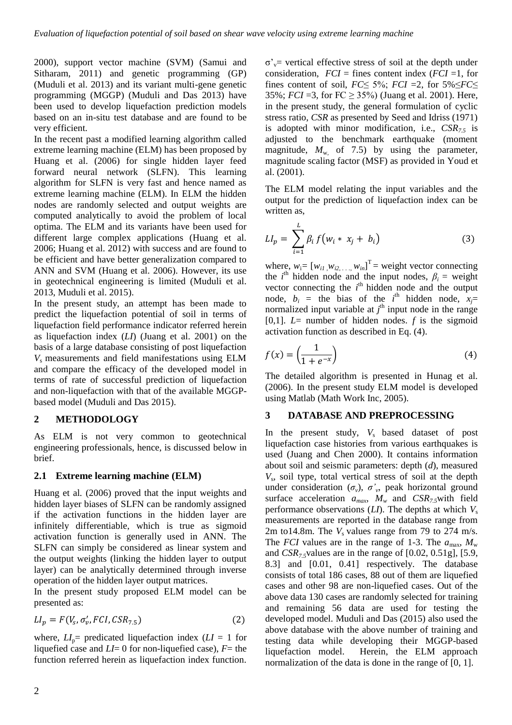2000), support vector machine (SVM) (Samui and Sitharam, 2011) and genetic programming (GP) (Muduli et al. 2013) and its variant multi-gene genetic programming (MGGP) (Muduli and Das 2013) have been used to develop liquefaction prediction models based on an in-situ test database and are found to be very efficient.

In the recent past a modified learning algorithm called extreme learning machine (ELM) has been proposed by Huang et al. (2006) for single hidden layer feed forward neural network (SLFN). This learning algorithm for SLFN is very fast and hence named as extreme learning machine (ELM). In ELM the hidden nodes are randomly selected and output weights are computed analytically to avoid the problem of local optima. The ELM and its variants have been used for different large complex applications (Huang et al. 2006; Huang et al. 2012) with success and are found to be efficient and have better generalization compared to ANN and SVM (Huang et al. 2006). However, its use in geotechnical engineering is limited (Muduli et al. 2013, Muduli et al. 2015).

In the present study, an attempt has been made to predict the liquefaction potential of soil in terms of liquefaction field performance indicator referred herein as liquefaction index (*LI*) (Juang et al. 2001) on the basis of a large database consisting of post liquefaction *V*<sup>s</sup> measurements and field manifestations using ELM and compare the efficacy of the developed model in terms of rate of successful prediction of liquefaction and non-liquefaction with that of the available MGGPbased model (Muduli and Das 2015).

## **2 METHODOLOGY**

As ELM is not very common to geotechnical engineering professionals, hence, is discussed below in brief.

#### **2.1 Extreme learning machine (ELM)**

Huang et al*.* (2006) proved that the input weights and hidden layer biases of SLFN can be randomly assigned if the activation functions in the hidden layer are infinitely differentiable, which is true as sigmoid activation function is generally used in ANN. The SLFN can simply be considered as linear system and the output weights (linking the hidden layer to output layer) can be analytically determined through inverse operation of the hidden layer output matrices.

In the present study proposed ELM model can be presented as:

$$
LI_p = F(V_s, \sigma'_v, FCI, CSP_{7.5})
$$
\n<sup>(2)</sup>

where,  $LI_{p}$  predicated liquefaction index ( $LI = 1$  for liquefied case and *LI*= 0 for non-liquefied case), *F*= the function referred herein as liquefaction index function.

 $\sigma'$ <sub>v</sub>= vertical effective stress of soil at the depth under consideration,  $FCI =$  fines content index  $(FCI = 1,$  for fines content of soil,  $FC \leq 5\%$ ;  $FCI =2$ , for  $5\% \leq FC \leq$ 35%; *FCI* =3, for  $FC \ge 35\%$ ) (Juang et al. 2001). Here, in the present study, the general formulation of cyclic stress ratio, *CSR* as presented by Seed and Idriss (1971) is adopted with minor modification, i.e., *CSR7.5* is adjusted to the benchmark earthquake (moment magnitude, *M*w, of 7.5) by using the parameter, magnitude scaling factor (MSF) as provided in Youd et al. (2001).

The ELM model relating the input variables and the output for the prediction of liquefaction index can be written as,

$$
LI_{p} = \sum_{i=1}^{L} \beta_{i} f(w_{i} * x_{j} + b_{i})
$$
 (3)

where,  $w_i = [w_{i1}, w_{i2}, \dots, w_{in}]$ <sup>T</sup> = weight vector connecting the  $i^{\text{th}}$  hidden node and the input nodes,  $\beta_i$  = weight vector connecting the  $i<sup>th</sup>$  hidden node and the output node,  $b_i$  = the bias of the *i*<sup>th</sup> hidden node,  $x_j$ = normalized input variable at  $j<sup>th</sup>$  input node in the range [0,1].  $L=$  number of hidden nodes.  $f$  is the sigmoid activation function as described in Eq. (4).

$$
f(x) = \left(\frac{1}{1 + e^{-x}}\right) \tag{4}
$$

The detailed algorithm is presented in Hunag et al. (2006). In the present study ELM model is developed using Matlab (Math Work Inc, 2005).

#### **3 DATABASE AND PREPROCESSING**

In the present study,  $V_s$  based dataset of post liquefaction case histories from various earthquakes is used (Juang and Chen 2000). It contains information about soil and seismic parameters: depth (*d*), measured *V*s , soil type, total vertical stress of soil at the depth under consideration  $(\sigma_{\nu})$ ,  $\sigma'_{\nu}$ , peak horizontal ground surface acceleration  $a_{max}$ ,  $M_w$  and  $CSR_{7.5}$ with field performance observations  $(LI)$ . The depths at which  $V_s$ measurements are reported in the database range from 2m to14.8m. The  $V_s$  values range from 79 to 274 m/s. The *FCI* values are in the range of 1-3. The  $a_{\text{max}}$ ,  $M_{\text{w}}$ and *CSR7.5*values are in the range of [0.02, 0.51g], [5.9, 8.3] and [0.01, 0.41] respectively. The database consists of total 186 cases, 88 out of them are liquefied cases and other 98 are non-liquefied cases. Out of the above data 130 cases are randomly selected for training and remaining 56 data are used for testing the developed model. Muduli and Das (2015) also used the above database with the above number of training and testing data while developing their MGGP-based liquefaction model. Herein, the ELM approach normalization of the data is done in the range of [0, 1].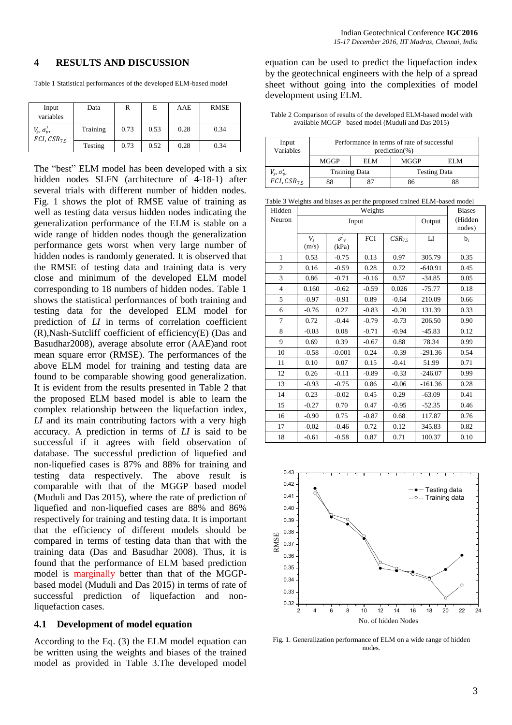#### **4 RESULTS AND DISCUSSION**

Table 1 Statistical performances of the developed ELM-based model

| Input<br>variables                              | Data     | R    | E    | AAE  | <b>RMSE</b> |
|-------------------------------------------------|----------|------|------|------|-------------|
| $V_{\rm s}$ , $\sigma'_v$ ,<br>$FCI, CSR_{7.5}$ | Training | 0.73 | 0.53 | 0.28 | 0.34        |
|                                                 | Testing  | 0.73 | 0.52 | 0.28 | 0.34        |

The "best" ELM model has been developed with a six hidden nodes SLFN (architecture of 4-18-1) after several trials with different number of hidden nodes. Fig. 1 shows the plot of RMSE value of training as well as testing data versus hidden nodes indicating the generalization performance of the ELM is stable on a wide range of hidden nodes though the generalization performance gets worst when very large number of hidden nodes is randomly generated. It is observed that the RMSE of testing data and training data is very close and minimum of the developed ELM model corresponding to 18 numbers of hidden nodes. Table 1 shows the statistical performances of both training and testing data for the developed ELM model for prediction of *LI* in terms of correlation coefficient (R),Nash-Sutcliff coefficient of efficiency*(*E) (Das and Basudhar2008), average absolute error (AAE)and root mean square error (RMSE). The performances of the above ELM model for training and testing data are found to be comparable showing good generalization. It is evident from the results presented in Table 2 that the proposed ELM based model is able to learn the complex relationship between the liquefaction index, *LI* and its main contributing factors with a very high accuracy. A prediction in terms of *LI* is said to be successful if it agrees with field observation of database. The successful prediction of liquefied and non-liquefied cases is 87% and 88% for training and testing data respectively. The above result is comparable with that of the MGGP based model (Muduli and Das 2015), where the rate of prediction of liquefied and non-liquefied cases are 88% and 86% respectively for training and testing data. It is important that the efficiency of different models should be compared in terms of testing data than that with the training data (Das and Basudhar 2008). Thus, it is found that the performance of ELM based prediction model is marginally better than that of the MGGPbased model (Muduli and Das 2015) in terms of rate of successful prediction of liquefaction and nonliquefaction cases.

#### **4.1 Development of model equation**

According to the Eq. (3) the ELM model equation can be written using the weights and biases of the trained model as provided in Table 3.The developed model equation can be used to predict the liquefaction index by the geotechnical engineers with the help of a spread sheet without going into the complexities of model development using ELM.

Table 2 Comparison of results of the developed ELM-based model with available MGGP –based model (Muduli and Das 2015)

| Input<br>Variables          | Performance in terms of rate of successful<br>$prediction(\%)$ |     |                     |     |  |  |  |
|-----------------------------|----------------------------------------------------------------|-----|---------------------|-----|--|--|--|
|                             | MGGP                                                           | ELM | MGGP                | ELM |  |  |  |
| $V_{\rm s}$ , $\sigma'_v$ , | <b>Training Data</b>                                           |     | <b>Testing Data</b> |     |  |  |  |
| $FCI, CSR_{75}$             | 88                                                             |     | 86                  |     |  |  |  |

Table 3 Weights and biases as per the proposed trained ELM-based model

| Hidden                  |                  | <b>Biases</b>                   |         |                   |           |       |
|-------------------------|------------------|---------------------------------|---------|-------------------|-----------|-------|
| Neuron                  |                  | Input                           | Output  | (Hidden<br>nodes) |           |       |
|                         | $V_{s}$<br>(m/s) | $\dot{\sigma_{\rm v}}$<br>(kPa) | FCI     | $CSR_{7.5}$       | LI        | $b_i$ |
| 1                       | 0.53             | $-0.75$                         | 0.13    | 0.97              | 305.79    | 0.35  |
| $\overline{c}$          | 0.16             | $-0.59$                         | 0.28    | 0.72              | $-640.91$ | 0.45  |
| 3                       | 0.86             | $-0.71$                         | $-0.16$ | 0.57              | $-34.85$  | 0.05  |
| $\overline{\mathbf{4}}$ | 0.160            | $-0.62$                         | $-0.59$ | 0.026             | $-75.77$  | 0.18  |
| 5                       | $-0.97$          | $-0.91$                         | 0.89    | $-0.64$           | 210.09    | 0.66  |
| 6                       | $-0.76$          | 0.27                            | $-0.83$ | $-0.20$           | 131.39    | 0.33  |
| 7                       | 0.72             | $-0.44$                         | $-0.79$ | $-0.73$           | 206.50    | 0.90  |
| 8                       | $-0.03$          | 0.08                            | $-0.71$ | $-0.94$           | $-45.83$  | 0.12  |
| 9                       | 0.69             | 0.39                            | $-0.67$ | 0.88              | 78.34     | 0.99  |
| 10                      | $-0.58$          | $-0.001$                        | 0.24    | $-0.39$           | $-291.36$ | 0.54  |
| 11                      | 0.10             | 0.07                            | 0.15    | $-0.41$           | 51.99     | 0.71  |
| 12                      | 0.26             | $-0.11$                         | $-0.89$ | $-0.33$           | $-246.07$ | 0.99  |
| 13                      | $-0.93$          | $-0.75$                         | 0.86    | $-0.06$           | $-161.36$ | 0.28  |
| 14                      | 0.23             | $-0.02$                         | 0.45    | 0.29              | $-63.09$  | 0.41  |
| 15                      | $-0.27$          | 0.70                            | 0.47    | $-0.95$           | $-52.35$  | 0.46  |
| 16                      | $-0.90$          | 0.75                            | $-0.87$ | 0.68              | 117.87    | 0.76  |
| 17                      | $-0.02$          | $-0.46$                         | 0.72    | 0.12              | 345.83    | 0.82  |
| 18                      | $-0.61$          | $-0.58$                         | 0.87    | 0.71              | 100.37    | 0.10  |



Fig. 1. Generalization performance of ELM on a wide range of hidden nodes.